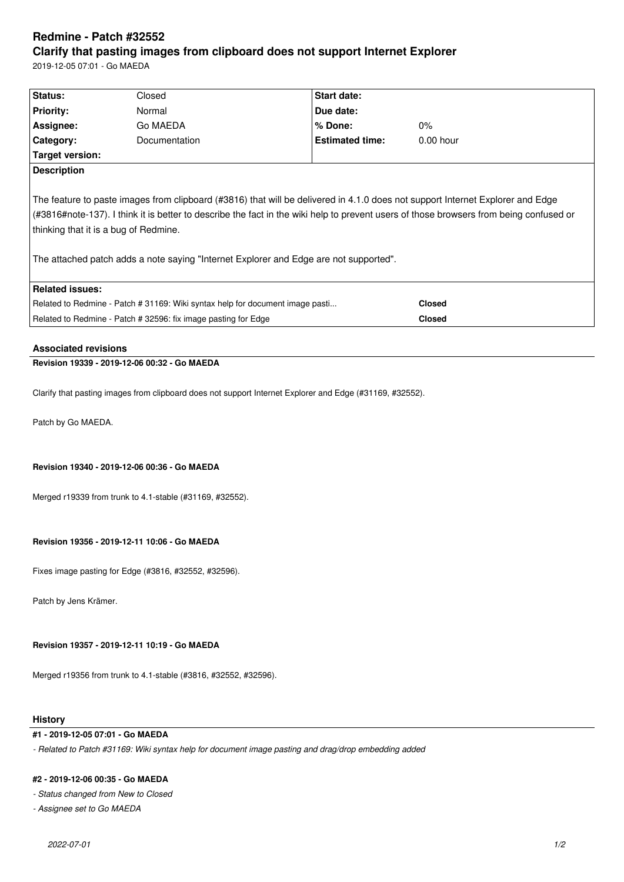# **Redmine - Patch #32552 Clarify that pasting images from clipboard does not support Internet Explorer**

2019-12-05 07:01 - Go MAEDA

| Status:                                                                                                                                                                                                                                                                                                                                                                                                    | Closed        | <b>Start date:</b>     |               |  |
|------------------------------------------------------------------------------------------------------------------------------------------------------------------------------------------------------------------------------------------------------------------------------------------------------------------------------------------------------------------------------------------------------------|---------------|------------------------|---------------|--|
| <b>Priority:</b>                                                                                                                                                                                                                                                                                                                                                                                           | Normal        | Due date:              |               |  |
| Assignee:                                                                                                                                                                                                                                                                                                                                                                                                  | Go MAEDA      | % Done:                | $0\%$         |  |
| Category:                                                                                                                                                                                                                                                                                                                                                                                                  | Documentation | <b>Estimated time:</b> | $0.00$ hour   |  |
| Target version:                                                                                                                                                                                                                                                                                                                                                                                            |               |                        |               |  |
| <b>Description</b>                                                                                                                                                                                                                                                                                                                                                                                         |               |                        |               |  |
| The feature to paste images from clipboard (#3816) that will be delivered in 4.1.0 does not support Internet Explorer and Edge<br>(#3816#note-137). I think it is better to describe the fact in the wiki help to prevent users of those browsers from being confused or<br>thinking that it is a bug of Redmine.<br>The attached patch adds a note saying "Internet Explorer and Edge are not supported". |               |                        |               |  |
| <b>Related issues:</b>                                                                                                                                                                                                                                                                                                                                                                                     |               |                        |               |  |
| Related to Redmine - Patch # 31169: Wiki syntax help for document image pasti                                                                                                                                                                                                                                                                                                                              |               |                        | <b>Closed</b> |  |
| Related to Redmine - Patch # 32596: fix image pasting for Edge                                                                                                                                                                                                                                                                                                                                             |               |                        | <b>Closed</b> |  |

## **Associated revisions**

# **Revision 19339 - 2019-12-06 00:32 - Go MAEDA**

Clarify that pasting images from clipboard does not support Internet Explorer and Edge (#31169, #32552).

Patch by Go MAEDA.

## **Revision 19340 - 2019-12-06 00:36 - Go MAEDA**

Merged r19339 from trunk to 4.1-stable (#31169, #32552).

## **Revision 19356 - 2019-12-11 10:06 - Go MAEDA**

Fixes image pasting for Edge (#3816, #32552, #32596).

Patch by Jens Krämer.

### **Revision 19357 - 2019-12-11 10:19 - Go MAEDA**

Merged r19356 from trunk to 4.1-stable (#3816, #32552, #32596).

### **History**

# **#1 - 2019-12-05 07:01 - Go MAEDA**

*- Related to Patch #31169: Wiki syntax help for document image pasting and drag/drop embedding added*

#### **#2 - 2019-12-06 00:35 - Go MAEDA**

*- Status changed from New to Closed*

*- Assignee set to Go MAEDA*